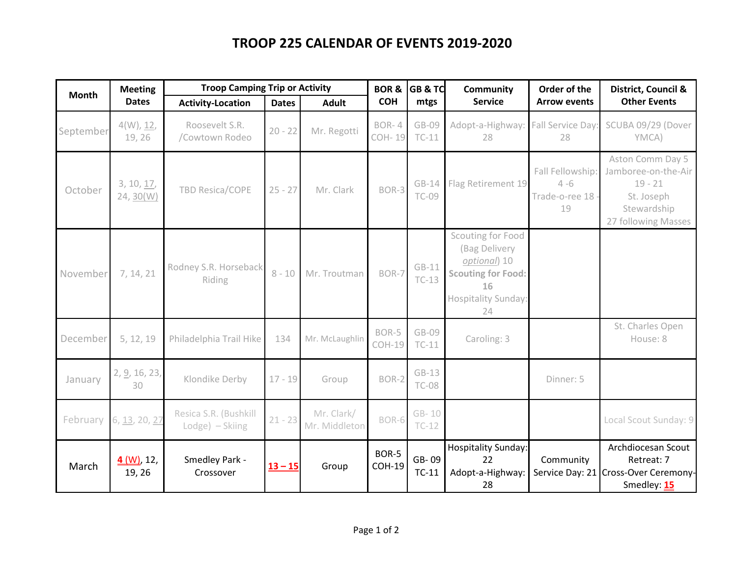## **TROOP 225 CALENDAR OF EVENTS 2019-2020**

| <b>Month</b> | <b>Meeting</b>          | <b>Troop Camping Trip or Activity</b>    |              |                             |                               | <b>BOR &amp; GB &amp; TC</b> | <b>Community</b>                                                                                                   | Order of the                                        | District, Council &                                                                                      |
|--------------|-------------------------|------------------------------------------|--------------|-----------------------------|-------------------------------|------------------------------|--------------------------------------------------------------------------------------------------------------------|-----------------------------------------------------|----------------------------------------------------------------------------------------------------------|
|              | <b>Dates</b>            | <b>Activity-Location</b>                 | <b>Dates</b> | <b>Adult</b>                | <b>COH</b>                    | mtgs                         | <b>Service</b>                                                                                                     | <b>Arrow events</b>                                 | <b>Other Events</b>                                                                                      |
| September    | 4(W), 12,<br>19, 26     | Roosevelt S.R.<br>/Cowtown Rodeo         | $20 - 22$    | Mr. Regotti                 | BOR-4<br><b>COH-19</b>        | GB-09<br>$TC-11$             | Adopt-a-Highway: Fall Service Day<br>28                                                                            | 28                                                  | SCUBA 09/29 (Dover<br>YMCA)                                                                              |
| October      | 3, 10, 17,<br>24, 30(W) | <b>TBD Resica/COPE</b>                   | $25 - 27$    | Mr. Clark                   | BOR-3                         | $GB-14$<br><b>TC-09</b>      | Flag Retirement 19                                                                                                 | Fall Fellowship:<br>$4 - 6$<br>Trade-o-ree 18<br>19 | Aston Comm Day 5<br>Jamboree-on-the-Air<br>$19 - 21$<br>St. Joseph<br>Stewardship<br>27 following Masses |
| November     | 7, 14, 21               | Rodney S.R. Horseback<br>Riding          | $8 - 10$     | Mr. Troutman                | BOR-7                         | $GB-11$<br>$TC-13$           | Scouting for Food<br>(Bag Delivery<br>optional) 10<br><b>Scouting for Food:</b><br>16<br>Hospitality Sunday:<br>24 |                                                     |                                                                                                          |
| December     | 5, 12, 19               | Philadelphia Trail Hike                  | 134          | Mr. McLaughlin              | BOR-5<br>$COH-19$             | GB-09<br>$TC-11$             | Caroling: 3                                                                                                        |                                                     | St. Charles Open<br>House: 8                                                                             |
| January      | 2, 9, 16, 23,<br>30     | Klondike Derby                           | $17 - 19$    | Group                       | BOR-2                         | $GB-13$<br><b>TC-08</b>      |                                                                                                                    | Dinner: 5                                           |                                                                                                          |
| February     | 6, 13, 20, 27           | Resica S.R. (Bushkill<br>Lodge) - Skiing | $21 - 23$    | Mr. Clark/<br>Mr. Middleton | BOR-6                         | GB-10<br>$TC-12$             |                                                                                                                    |                                                     | Local Scout Sunday: 9                                                                                    |
| March        | $4 (W)$ , 12,<br>19, 26 | Smedley Park -<br>Crossover              | $13 - 15$    | Group                       | <b>BOR-5</b><br><b>COH-19</b> | GB-09<br>$TC-11$             | <b>Hospitality Sunday:</b><br>22<br>Adopt-a-Highway:<br>28                                                         | Community                                           | Archdiocesan Scout<br>Retreat: 7<br>Service Day: 21 Cross-Over Ceremony-<br>Smedley: 15                  |